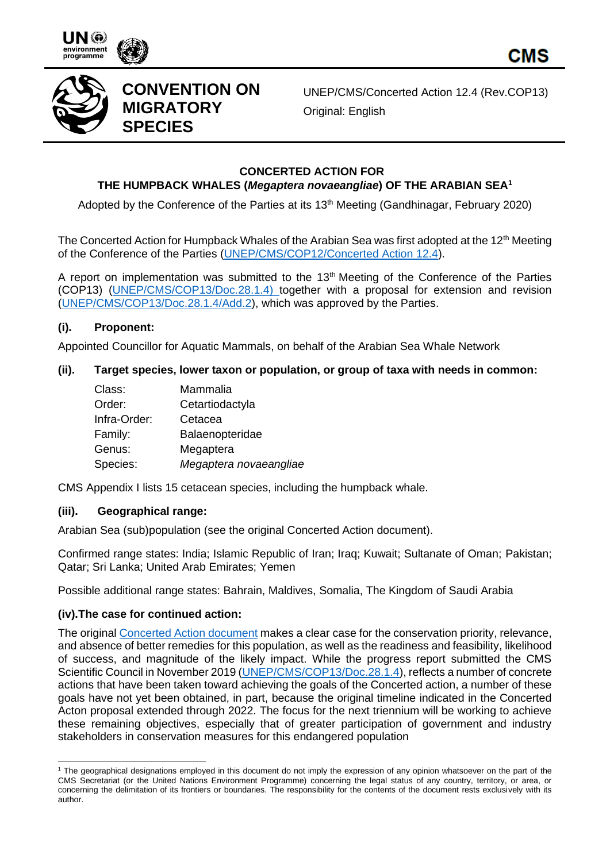





# **CONVENTION ON MIGRATORY SPECIES**

UNEP/CMS/Concerted Action 12.4 (Rev.COP13) Original: English

## **CONCERTED ACTION FOR**

# **THE HUMPBACK WHALES (***Megaptera novaeangliae***) OF THE ARABIAN SEA<sup>1</sup>**

Adopted by the Conference of the Parties at its 13<sup>th</sup> Meeting (Gandhinagar, February 2020)

The Concerted Action for Humpback Whales of the Arabian Sea was first adopted at the 12<sup>th</sup> Meeting of the Conference of the Parties [\(UNEP/CMS/COP12/Concerted Action 12.4\)](https://www.cms.int/en/document/concerted-action-humpback-whales-megaptera-novaeangliae-arabian-sea).

A report on implementation was submitted to the  $13<sup>th</sup>$  Meeting of the Conference of the Parties (COP13) [\(UNEP/CMS/COP13/Doc.28.1.4\)](https://www.cms.int/en/document/report-implementation-concerted-action-humpback-whales-megaptera-novaeangliae-arabian-sea) together with a proposal for extension and revision [\(UNEP/CMS/COP13/Doc.28.1.4/Add.2\)](https://www.cms.int/en/document/proposal-extension-cms-concerted-action-arabian-sea-humpback-whales-megaptera-novaeangliae), which was approved by the Parties.

### **(i). Proponent:**

Appointed Councillor for Aquatic Mammals, on behalf of the Arabian Sea Whale Network

### **(ii). Target species, lower taxon or population, or group of taxa with needs in common:**

| Class:       | Mammalia               |
|--------------|------------------------|
| Order:       | Cetartiodactyla        |
| Infra-Order: | Cetacea                |
| Family:      | Balaenopteridae        |
| Genus:       | Megaptera              |
| Species:     | Megaptera novaeangliae |

CMS Appendix I lists 15 cetacean species, including the humpback whale.

### **(iii). Geographical range:**

Arabian Sea (sub)population (see the original Concerted Action document).

Confirmed range states: India; Islamic Republic of Iran; Iraq; Kuwait; Sultanate of Oman; Pakistan; Qatar; Sri Lanka; United Arab Emirates; Yemen

Possible additional range states: Bahrain, Maldives, Somalia, The Kingdom of Saudi Arabia

### **(iv).The case for continued action:**

The original [Concerted Action document](https://www.cms.int/en/document/concerted-action-humpback-whales-megaptera-novaeangliae-arabian-sea) makes a clear case for the conservation priority, relevance, and absence of better remedies for this population, as well as the readiness and feasibility, likelihood of success, and magnitude of the likely impact. While the progress report submitted the CMS Scientific Council in November 2019 [\(UNEP/CMS/COP13/Doc.28.1.4\)](https://www.cms.int/en/document/report-implementation-concerted-action-humpback-whales-megaptera-novaeangliae-arabian-sea), reflects a number of concrete actions that have been taken toward achieving the goals of the Concerted action, a number of these goals have not yet been obtained, in part, because the original timeline indicated in the Concerted Acton proposal extended through 2022. The focus for the next triennium will be working to achieve these remaining objectives, especially that of greater participation of government and industry stakeholders in conservation measures for this endangered population

<sup>&</sup>lt;sup>1</sup> The geographical designations employed in this document do not imply the expression of any opinion whatsoever on the part of the CMS Secretariat (or the United Nations Environment Programme) concerning the legal status of any country, territory, or area, or concerning the delimitation of its frontiers or boundaries. The responsibility for the contents of the document rests exclusively with its author.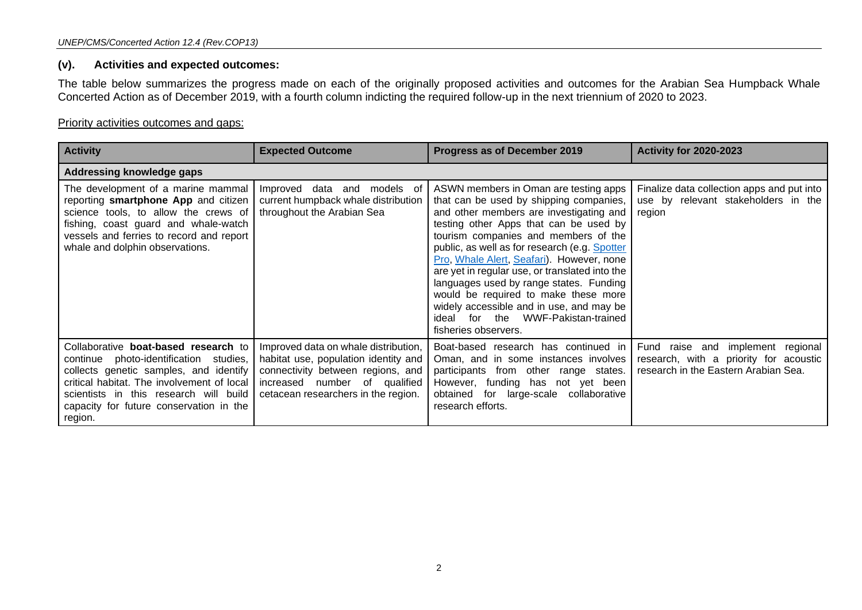#### **(v). Activities and expected outcomes:**

The table below summarizes the progress made on each of the originally proposed activities and outcomes for the Arabian Sea Humpback Whale Concerted Action as of December 2019, with a fourth column indicting the required follow-up in the next triennium of 2020 to 2023.

#### Priority activities outcomes and gaps:

| <b>Activity</b>                                                                                                                                                                                                                                                        | <b>Expected Outcome</b>                                                                                                                                                                   | Progress as of December 2019                                                                                                                                                                                                                                                                                                                                                                                                                                                                                                                                  | <b>Activity for 2020-2023</b>                                                                                       |
|------------------------------------------------------------------------------------------------------------------------------------------------------------------------------------------------------------------------------------------------------------------------|-------------------------------------------------------------------------------------------------------------------------------------------------------------------------------------------|---------------------------------------------------------------------------------------------------------------------------------------------------------------------------------------------------------------------------------------------------------------------------------------------------------------------------------------------------------------------------------------------------------------------------------------------------------------------------------------------------------------------------------------------------------------|---------------------------------------------------------------------------------------------------------------------|
| Addressing knowledge gaps                                                                                                                                                                                                                                              |                                                                                                                                                                                           |                                                                                                                                                                                                                                                                                                                                                                                                                                                                                                                                                               |                                                                                                                     |
| The development of a marine mammal<br>reporting smartphone App and citizen<br>science tools, to allow the crews of<br>fishing, coast guard and whale-watch<br>vessels and ferries to record and report<br>whale and dolphin observations.                              | Improved<br>data<br>models of<br>and<br>current humpback whale distribution<br>throughout the Arabian Sea                                                                                 | ASWN members in Oman are testing apps<br>that can be used by shipping companies,<br>and other members are investigating and<br>testing other Apps that can be used by<br>tourism companies and members of the<br>public, as well as for research (e.g. Spotter<br>Pro, Whale Alert, Seafari). However, none<br>are yet in regular use, or translated into the<br>languages used by range states. Funding<br>would be required to make these more<br>widely accessible and in use, and may be<br>WWF-Pakistan-trained<br>ideal for the<br>fisheries observers. | Finalize data collection apps and put into<br>use by relevant stakeholders in the<br>region                         |
| Collaborative boat-based research to<br>continue photo-identification studies,<br>collects genetic samples, and identify<br>critical habitat. The involvement of local<br>scientists in this research will build<br>capacity for future conservation in the<br>region. | Improved data on whale distribution,<br>habitat use, population identity and<br>connectivity between regions, and<br>increased number of qualified<br>cetacean researchers in the region. | Boat-based research has continued in<br>Oman, and in some instances involves<br>participants from other range states.<br>However, funding has not yet been<br>obtained<br>for large-scale collaborative<br>research efforts.                                                                                                                                                                                                                                                                                                                                  | Fund raise and implement regional<br>research, with a priority for acoustic<br>research in the Eastern Arabian Sea. |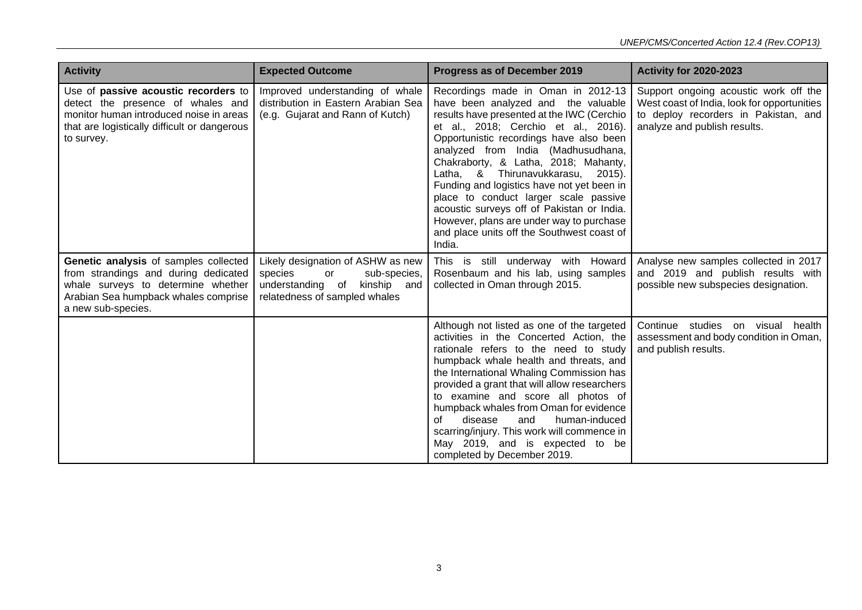| <b>Activity</b>                                                                                                                                                                    | <b>Expected Outcome</b>                                                                                                             | Progress as of December 2019                                                                                                                                                                                                                                                                                                                                                                                                                                                                                                                                           | <b>Activity for 2020-2023</b>                                                                                                                                |
|------------------------------------------------------------------------------------------------------------------------------------------------------------------------------------|-------------------------------------------------------------------------------------------------------------------------------------|------------------------------------------------------------------------------------------------------------------------------------------------------------------------------------------------------------------------------------------------------------------------------------------------------------------------------------------------------------------------------------------------------------------------------------------------------------------------------------------------------------------------------------------------------------------------|--------------------------------------------------------------------------------------------------------------------------------------------------------------|
| Use of passive acoustic recorders to<br>detect the presence of whales and<br>monitor human introduced noise in areas<br>that are logistically difficult or dangerous<br>to survey. | Improved understanding of whale<br>distribution in Eastern Arabian Sea<br>(e.g. Gujarat and Rann of Kutch)                          | Recordings made in Oman in 2012-13<br>have been analyzed and the valuable<br>results have presented at the IWC (Cerchio<br>et al., 2018; Cerchio et al., 2016).<br>Opportunistic recordings have also been<br>analyzed from India (Madhusudhana,<br>Chakraborty, & Latha, 2018; Mahanty,<br>Latha, & Thirunavukkarasu, 2015).<br>Funding and logistics have not yet been in<br>place to conduct larger scale passive<br>acoustic surveys off of Pakistan or India.<br>However, plans are under way to purchase<br>and place units off the Southwest coast of<br>India. | Support ongoing acoustic work off the<br>West coast of India, look for opportunities<br>to deploy recorders in Pakistan, and<br>analyze and publish results. |
| Genetic analysis of samples collected<br>from strandings and during dedicated<br>whale surveys to determine whether<br>Arabian Sea humpback whales comprise<br>a new sub-species.  | Likely designation of ASHW as new<br>species<br>sub-species,<br>or<br>understanding of kinship and<br>relatedness of sampled whales | This is still underway with Howard<br>Rosenbaum and his lab, using samples<br>collected in Oman through 2015.                                                                                                                                                                                                                                                                                                                                                                                                                                                          | Analyse new samples collected in 2017<br>and 2019 and publish results with<br>possible new subspecies designation.                                           |
|                                                                                                                                                                                    |                                                                                                                                     | Although not listed as one of the targeted<br>activities in the Concerted Action, the<br>rationale refers to the need to study<br>humpback whale health and threats, and<br>the International Whaling Commission has<br>provided a grant that will allow researchers<br>to examine and score all photos of<br>humpback whales from Oman for evidence<br>human-induced<br>disease<br>and<br>Ωf<br>scarring/injury. This work will commence in<br>May 2019, and is expected to be<br>completed by December 2019.                                                         | Continue studies on visual health<br>assessment and body condition in Oman,<br>and publish results.                                                          |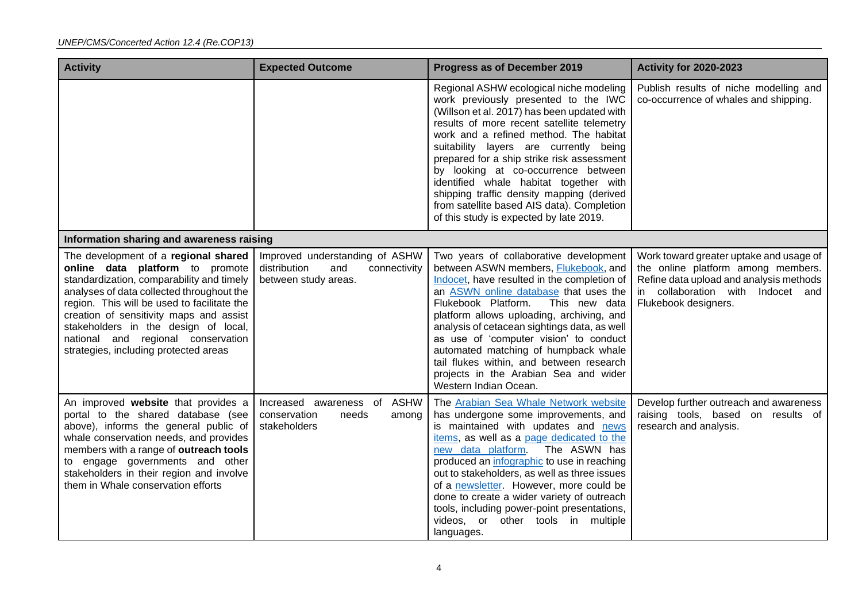| <b>Activity</b>                                                                                                                                                                                                                                                                                                                                                                    | <b>Expected Outcome</b>                                                                       | Progress as of December 2019                                                                                                                                                                                                                                                                                                                                                                                                                                                                                                          | <b>Activity for 2020-2023</b>                                                                                                                                                         |
|------------------------------------------------------------------------------------------------------------------------------------------------------------------------------------------------------------------------------------------------------------------------------------------------------------------------------------------------------------------------------------|-----------------------------------------------------------------------------------------------|---------------------------------------------------------------------------------------------------------------------------------------------------------------------------------------------------------------------------------------------------------------------------------------------------------------------------------------------------------------------------------------------------------------------------------------------------------------------------------------------------------------------------------------|---------------------------------------------------------------------------------------------------------------------------------------------------------------------------------------|
|                                                                                                                                                                                                                                                                                                                                                                                    |                                                                                               | Regional ASHW ecological niche modeling<br>work previously presented to the IWC<br>(Willson et al. 2017) has been updated with<br>results of more recent satellite telemetry<br>work and a refined method. The habitat<br>suitability layers are currently being<br>prepared for a ship strike risk assessment<br>by looking at co-occurrence between<br>identified whale habitat together with<br>shipping traffic density mapping (derived<br>from satellite based AIS data). Completion<br>of this study is expected by late 2019. | Publish results of niche modelling and<br>co-occurrence of whales and shipping.                                                                                                       |
| Information sharing and awareness raising                                                                                                                                                                                                                                                                                                                                          |                                                                                               |                                                                                                                                                                                                                                                                                                                                                                                                                                                                                                                                       |                                                                                                                                                                                       |
| The development of a regional shared<br>online data platform to promote<br>standardization, comparability and timely<br>analyses of data collected throughout the<br>region. This will be used to facilitate the<br>creation of sensitivity maps and assist<br>stakeholders in the design of local,<br>national and regional conservation<br>strategies, including protected areas | Improved understanding of ASHW<br>distribution<br>and<br>connectivity<br>between study areas. | Two years of collaborative development<br>between ASWN members, Flukebook, and<br>Indocet, have resulted in the completion of<br>an ASWN online database that uses the<br>Flukebook Platform.<br>This new data<br>platform allows uploading, archiving, and<br>analysis of cetacean sightings data, as well<br>as use of 'computer vision' to conduct<br>automated matching of humpback whale<br>tail flukes within, and between research<br>projects in the Arabian Sea and wider<br>Western Indian Ocean.                           | Work toward greater uptake and usage of<br>the online platform among members.<br>Refine data upload and analysis methods<br>in collaboration with Indocet and<br>Flukebook designers. |
| An improved website that provides a<br>portal to the shared database (see<br>above), informs the general public of<br>whale conservation needs, and provides<br>members with a range of outreach tools<br>to engage governments and other<br>stakeholders in their region and involve<br>them in Whale conservation efforts                                                        | <b>ASHW</b><br>Increased awareness of<br>conservation<br>needs<br>among<br>stakeholders       | The Arabian Sea Whale Network website<br>has undergone some improvements, and<br>is maintained with updates and news<br>items, as well as a page dedicated to the<br>new data platform. The ASWN has<br>produced an infographic to use in reaching<br>out to stakeholders, as well as three issues<br>of a newsletter. However, more could be<br>done to create a wider variety of outreach<br>tools, including power-point presentations,<br>videos, or other tools in multiple<br>languages.                                        | Develop further outreach and awareness<br>raising tools, based on results of<br>research and analysis.                                                                                |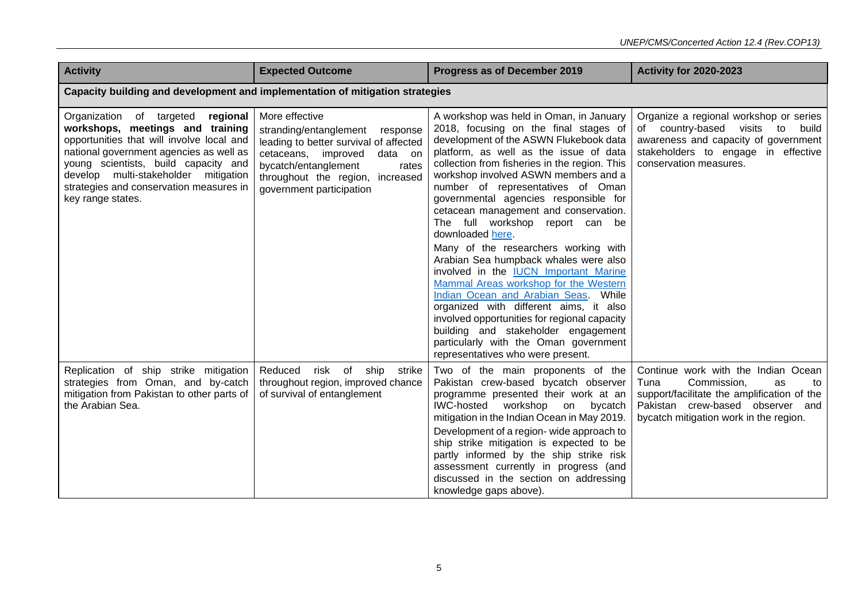| <b>Activity</b>                                                                                                                                                                                                                                                                                                  | <b>Expected Outcome</b>                                                                                                                                                                                                        | Progress as of December 2019                                                                                                                                                                                                                                                                                                                                                                                                                                                                                                                                                                                                                                                                                                                                                                                                                                                 | <b>Activity for 2020-2023</b>                                                                                                                                                                       |  |  |  |
|------------------------------------------------------------------------------------------------------------------------------------------------------------------------------------------------------------------------------------------------------------------------------------------------------------------|--------------------------------------------------------------------------------------------------------------------------------------------------------------------------------------------------------------------------------|------------------------------------------------------------------------------------------------------------------------------------------------------------------------------------------------------------------------------------------------------------------------------------------------------------------------------------------------------------------------------------------------------------------------------------------------------------------------------------------------------------------------------------------------------------------------------------------------------------------------------------------------------------------------------------------------------------------------------------------------------------------------------------------------------------------------------------------------------------------------------|-----------------------------------------------------------------------------------------------------------------------------------------------------------------------------------------------------|--|--|--|
| Capacity building and development and implementation of mitigation strategies                                                                                                                                                                                                                                    |                                                                                                                                                                                                                                |                                                                                                                                                                                                                                                                                                                                                                                                                                                                                                                                                                                                                                                                                                                                                                                                                                                                              |                                                                                                                                                                                                     |  |  |  |
| Organization of targeted<br>regional<br>workshops, meetings and training<br>opportunities that will involve local and<br>national government agencies as well as<br>young scientists, build capacity and<br>develop multi-stakeholder mitigation<br>strategies and conservation measures in<br>key range states. | More effective<br>stranding/entanglement response<br>leading to better survival of affected<br>cetaceans, improved<br>data on<br>bycatch/entanglement<br>rates<br>throughout the region, increased<br>government participation | A workshop was held in Oman, in January<br>2018, focusing on the final stages of<br>development of the ASWN Flukebook data<br>platform, as well as the issue of data<br>collection from fisheries in the region. This<br>workshop involved ASWN members and a<br>number of representatives of Oman<br>governmental agencies responsible for<br>cetacean management and conservation.<br>The full workshop report can be<br>downloaded here.<br>Many of the researchers working with<br>Arabian Sea humpback whales were also<br>involved in the <b>IUCN</b> Important Marine<br>Mammal Areas workshop for the Western<br>Indian Ocean and Arabian Seas. While<br>organized with different aims, it also<br>involved opportunities for regional capacity<br>building and stakeholder engagement<br>particularly with the Oman government<br>representatives who were present. | Organize a regional workshop or series<br>of country-based visits to<br>build<br>awareness and capacity of government<br>stakeholders to engage in effective<br>conservation measures.              |  |  |  |
| Replication of ship strike mitigation<br>strategies from Oman, and by-catch<br>mitigation from Pakistan to other parts of<br>the Arabian Sea.                                                                                                                                                                    | risk of ship<br>Reduced<br>strike<br>throughout region, improved chance<br>of survival of entanglement                                                                                                                         | Two of the main proponents of the<br>Pakistan crew-based bycatch observer<br>programme presented their work at an<br>IWC-hosted workshop on<br>bycatch<br>mitigation in the Indian Ocean in May 2019.<br>Development of a region- wide approach to<br>ship strike mitigation is expected to be<br>partly informed by the ship strike risk<br>assessment currently in progress (and<br>discussed in the section on addressing<br>knowledge gaps above).                                                                                                                                                                                                                                                                                                                                                                                                                       | Continue work with the Indian Ocean<br>Tuna<br>Commission,<br>as<br>to<br>support/facilitate the amplification of the<br>Pakistan crew-based observer and<br>bycatch mitigation work in the region. |  |  |  |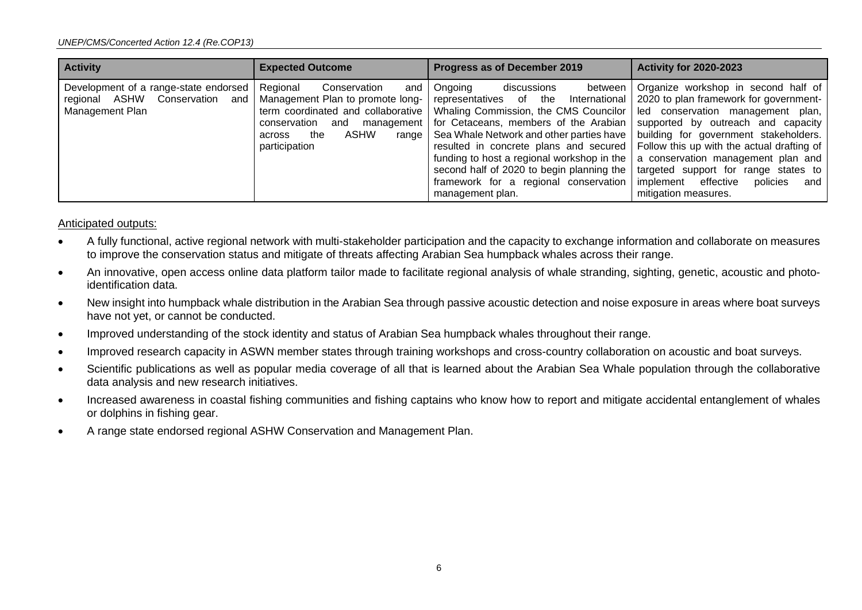| <b>Activity</b>                                                                                  | <b>Expected Outcome</b>                                                                                                                                                            | Progress as of December 2019                                                                                                                                                                                                                                                                                                                                                                                                                                       | <b>Activity for 2020-2023</b>                                                                                                                                                                                                                                                                                                                              |
|--------------------------------------------------------------------------------------------------|------------------------------------------------------------------------------------------------------------------------------------------------------------------------------------|--------------------------------------------------------------------------------------------------------------------------------------------------------------------------------------------------------------------------------------------------------------------------------------------------------------------------------------------------------------------------------------------------------------------------------------------------------------------|------------------------------------------------------------------------------------------------------------------------------------------------------------------------------------------------------------------------------------------------------------------------------------------------------------------------------------------------------------|
| Development of a range-state endorsed<br>Conservation<br>regional ASHW<br>and<br>Management Plan | Regional<br>Conservation<br>and<br>Management Plan to promote long- representatives of<br>management  <br>conservation<br>and<br>ASHW<br>the<br>range I<br>across<br>participation | Ongoing<br>between<br>discussions<br>the<br>International<br>term coordinated and collaborative   Whaling Commission, the CMS Councilor   led conservation management plan,<br>for Cetaceans, members of the Arabian<br>Sea Whale Network and other parties have<br>resulted in concrete plans and secured<br>funding to host a regional workshop in the<br>second half of 2020 to begin planning the<br>framework for a regional conservation<br>management plan. | Organize workshop in second half of<br>2020 to plan framework for government-<br>supported by outreach and capacity<br>building for government stakeholders.<br>Follow this up with the actual drafting of<br>a conservation management plan and<br>targeted support for range states to<br>implement effective<br>policies<br>and<br>mitigation measures. |

#### Anticipated outputs:

- A fully functional, active regional network with multi-stakeholder participation and the capacity to exchange information and collaborate on measures to improve the conservation status and mitigate of threats affecting Arabian Sea humpback whales across their range.
- An innovative, open access online data platform tailor made to facilitate regional analysis of whale stranding, sighting, genetic, acoustic and photoidentification data.
- New insight into humpback whale distribution in the Arabian Sea through passive acoustic detection and noise exposure in areas where boat surveys have not yet, or cannot be conducted.
- Improved understanding of the stock identity and status of Arabian Sea humpback whales throughout their range.
- Improved research capacity in ASWN member states through training workshops and cross-country collaboration on acoustic and boat surveys.
- Scientific publications as well as popular media coverage of all that is learned about the Arabian Sea Whale population through the collaborative data analysis and new research initiatives.
- Increased awareness in coastal fishing communities and fishing captains who know how to report and mitigate accidental entanglement of whales or dolphins in fishing gear.
- A range state endorsed regional ASHW Conservation and Management Plan.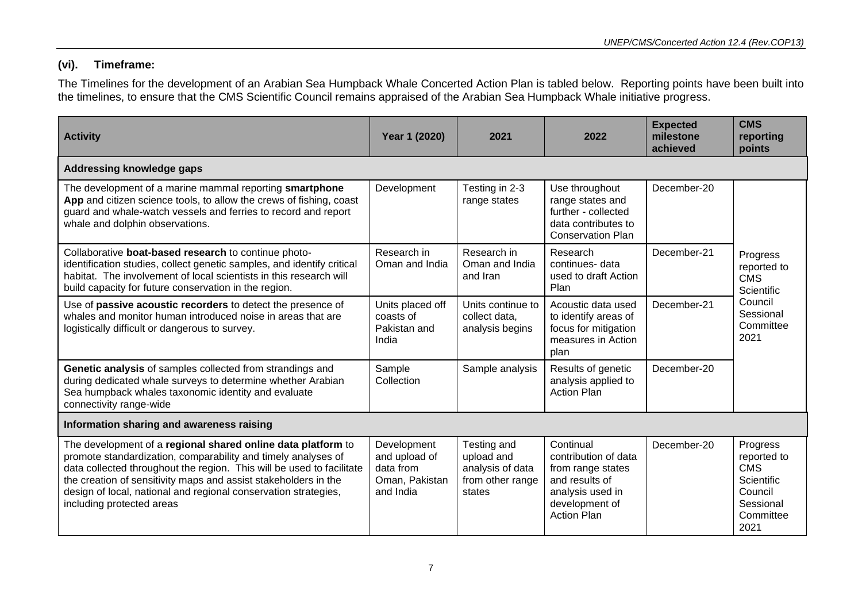# **(vi). Timeframe:**

The Timelines for the development of an Arabian Sea Humpback Whale Concerted Action Plan is tabled below. Reporting points have been built into the timelines, to ensure that the CMS Scientific Council remains appraised of the Arabian Sea Humpback Whale initiative progress.

| <b>Activity</b>                                                                                                                                                                                                                                                                                                                                                           | Year 1 (2020)                                                            | 2021                                                                        | 2022                                                                                                                                 | <b>Expected</b><br>milestone<br>achieved | <b>CMS</b><br>reporting<br>points                                                                |
|---------------------------------------------------------------------------------------------------------------------------------------------------------------------------------------------------------------------------------------------------------------------------------------------------------------------------------------------------------------------------|--------------------------------------------------------------------------|-----------------------------------------------------------------------------|--------------------------------------------------------------------------------------------------------------------------------------|------------------------------------------|--------------------------------------------------------------------------------------------------|
| Addressing knowledge gaps                                                                                                                                                                                                                                                                                                                                                 |                                                                          |                                                                             |                                                                                                                                      |                                          |                                                                                                  |
| The development of a marine mammal reporting smartphone<br>App and citizen science tools, to allow the crews of fishing, coast<br>guard and whale-watch vessels and ferries to record and report<br>whale and dolphin observations.                                                                                                                                       | Development                                                              | Testing in 2-3<br>range states                                              | Use throughout<br>range states and<br>further - collected<br>data contributes to<br><b>Conservation Plan</b>                         | December-20                              |                                                                                                  |
| Collaborative boat-based research to continue photo-<br>identification studies, collect genetic samples, and identify critical<br>habitat. The involvement of local scientists in this research will<br>build capacity for future conservation in the region.                                                                                                             | Research in<br>Oman and India                                            | Research in<br>Oman and India<br>and Iran                                   | Research<br>continues-data<br>used to draft Action<br>Plan                                                                           | December-21                              | Progress<br>reported to<br><b>CMS</b><br>Scientific                                              |
| Use of passive acoustic recorders to detect the presence of<br>whales and monitor human introduced noise in areas that are<br>logistically difficult or dangerous to survey.                                                                                                                                                                                              | Units placed off<br>coasts of<br>Pakistan and<br>India                   | Units continue to<br>collect data,<br>analysis begins                       | Acoustic data used<br>to identify areas of<br>focus for mitigation<br>measures in Action<br>plan                                     | December-21                              | Council<br>Sessional<br>Committee<br>2021                                                        |
| Genetic analysis of samples collected from strandings and<br>during dedicated whale surveys to determine whether Arabian<br>Sea humpback whales taxonomic identity and evaluate<br>connectivity range-wide                                                                                                                                                                | Sample<br>Collection                                                     | Sample analysis                                                             | Results of genetic<br>analysis applied to<br><b>Action Plan</b>                                                                      | December-20                              |                                                                                                  |
| Information sharing and awareness raising                                                                                                                                                                                                                                                                                                                                 |                                                                          |                                                                             |                                                                                                                                      |                                          |                                                                                                  |
| The development of a regional shared online data platform to<br>promote standardization, comparability and timely analyses of<br>data collected throughout the region. This will be used to facilitate<br>the creation of sensitivity maps and assist stakeholders in the<br>design of local, national and regional conservation strategies,<br>including protected areas | Development<br>and upload of<br>data from<br>Oman, Pakistan<br>and India | Testing and<br>upload and<br>analysis of data<br>from other range<br>states | Continual<br>contribution of data<br>from range states<br>and results of<br>analysis used in<br>development of<br><b>Action Plan</b> | December-20                              | Progress<br>reported to<br><b>CMS</b><br>Scientific<br>Council<br>Sessional<br>Committee<br>2021 |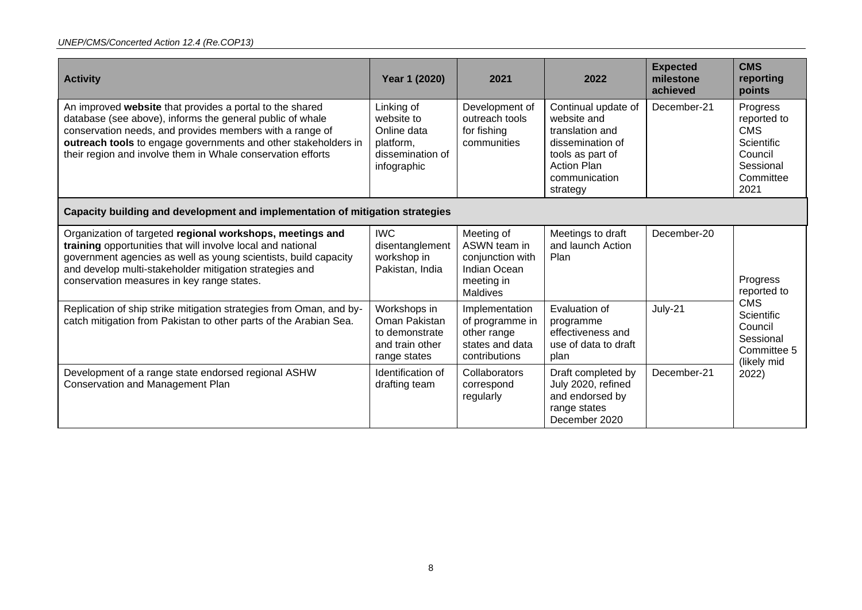| <b>Activity</b>                                                                                                                                                                                                                                                                                                    | Year 1 (2020)                                                                           | 2021                                                                                                   | 2022                                                                                                                                             | <b>Expected</b><br>milestone<br>achieved | <b>CMS</b><br>reporting<br>points                                                                |  |
|--------------------------------------------------------------------------------------------------------------------------------------------------------------------------------------------------------------------------------------------------------------------------------------------------------------------|-----------------------------------------------------------------------------------------|--------------------------------------------------------------------------------------------------------|--------------------------------------------------------------------------------------------------------------------------------------------------|------------------------------------------|--------------------------------------------------------------------------------------------------|--|
| An improved website that provides a portal to the shared<br>database (see above), informs the general public of whale<br>conservation needs, and provides members with a range of<br>outreach tools to engage governments and other stakeholders in<br>their region and involve them in Whale conservation efforts | Linking of<br>website to<br>Online data<br>platform,<br>dissemination of<br>infographic | Development of<br>outreach tools<br>for fishing<br>communities                                         | Continual update of<br>website and<br>translation and<br>dissemination of<br>tools as part of<br><b>Action Plan</b><br>communication<br>strategy | December-21                              | Progress<br>reported to<br><b>CMS</b><br>Scientific<br>Council<br>Sessional<br>Committee<br>2021 |  |
| Capacity building and development and implementation of mitigation strategies                                                                                                                                                                                                                                      |                                                                                         |                                                                                                        |                                                                                                                                                  |                                          |                                                                                                  |  |
| Organization of targeted regional workshops, meetings and<br>training opportunities that will involve local and national<br>government agencies as well as young scientists, build capacity<br>and develop multi-stakeholder mitigation strategies and<br>conservation measures in key range states.               | <b>IWC</b><br>disentanglement<br>workshop in<br>Pakistan, India                         | Meeting of<br>ASWN team in<br>conjunction with<br><b>Indian Ocean</b><br>meeting in<br><b>Maldives</b> | Meetings to draft<br>and launch Action<br>Plan                                                                                                   | December-20                              | Progress<br>reported to                                                                          |  |
| Replication of ship strike mitigation strategies from Oman, and by-<br>catch mitigation from Pakistan to other parts of the Arabian Sea.                                                                                                                                                                           | Workshops in<br>Oman Pakistan<br>to demonstrate<br>and train other<br>range states      | Implementation<br>of programme in<br>other range<br>states and data<br>contributions                   | Evaluation of<br>programme<br>effectiveness and<br>use of data to draft<br>plan                                                                  | July-21                                  | <b>CMS</b><br>Scientific<br>Council<br>Sessional<br>Committee 5<br>(likely mid                   |  |
| Development of a range state endorsed regional ASHW<br><b>Conservation and Management Plan</b>                                                                                                                                                                                                                     | Identification of<br>drafting team                                                      | Collaborators<br>correspond<br>regularly                                                               | Draft completed by<br>July 2020, refined<br>and endorsed by<br>range states<br>December 2020                                                     | December-21                              | 2022)                                                                                            |  |